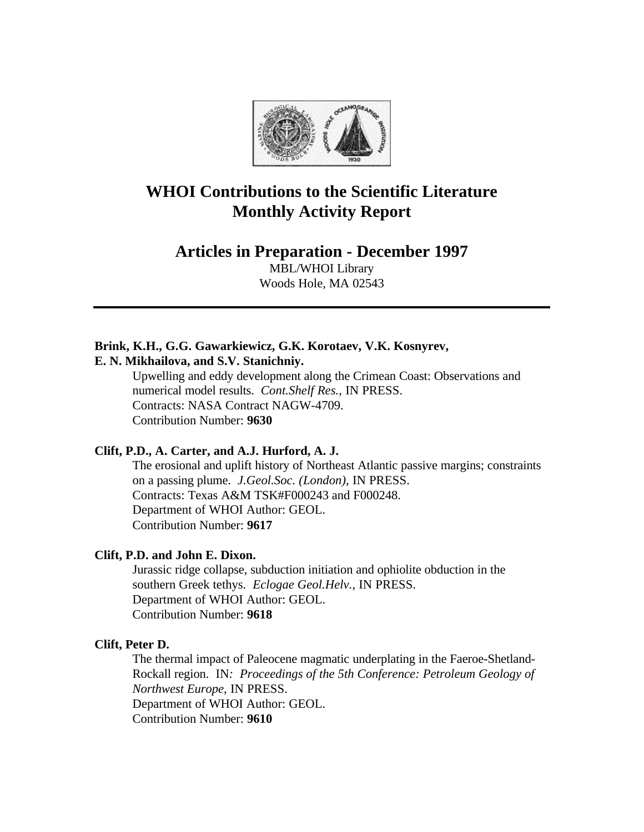

# **WHOI Contributions to the Scientific Literature Monthly Activity Report**

## **Articles in Preparation - December 1997**

MBL/WHOI Library Woods Hole, MA 02543

# **Brink, K.H., G.G. Gawarkiewicz, G.K. Korotaev, V.K. Kosnyrev,**

**E. N. Mikhailova, and S.V. Stanichniy.**

Upwelling and eddy development along the Crimean Coast: Observations and numerical model results. *Cont.Shelf Res.*, IN PRESS. Contracts: NASA Contract NAGW-4709. Contribution Number: **9630**

### **Clift, P.D., A. Carter, and A.J. Hurford, A. J.**

The erosional and uplift history of Northeast Atlantic passive margins; constraints on a passing plume. *J.Geol.Soc. (London)*, IN PRESS. Contracts: Texas A&M TSK#F000243 and F000248. Department of WHOI Author: GEOL. Contribution Number: **9617**

### **Clift, P.D. and John E. Dixon.**

Jurassic ridge collapse, subduction initiation and ophiolite obduction in the southern Greek tethys. *Eclogae Geol.Helv.*, IN PRESS. Department of WHOI Author: GEOL. Contribution Number: **9618**

### **Clift, Peter D.**

The thermal impact of Paleocene magmatic underplating in the Faeroe-Shetland-Rockall region. IN*: Proceedings of the 5th Conference: Petroleum Geology of Northwest Europe*, IN PRESS. Department of WHOI Author: GEOL. Contribution Number: **9610**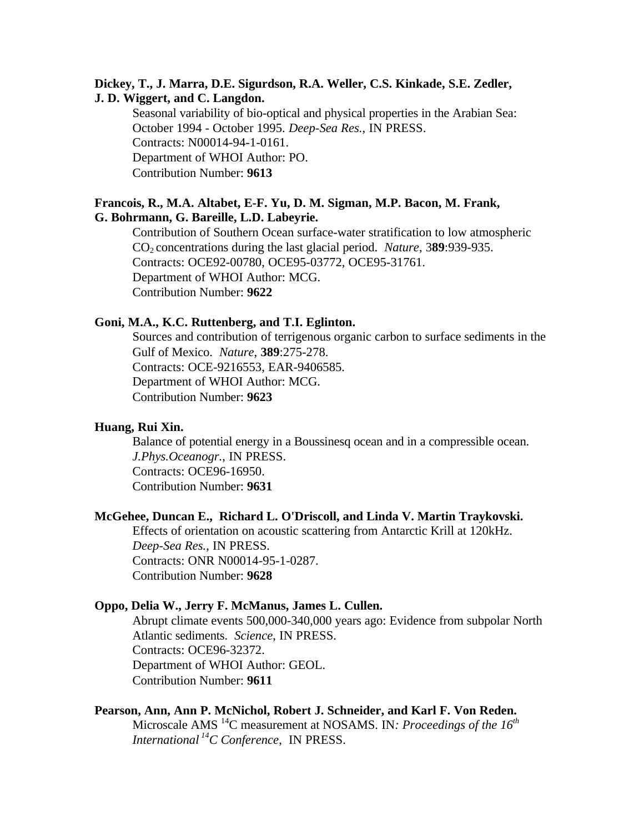### **Dickey, T., J. Marra, D.E. Sigurdson, R.A. Weller, C.S. Kinkade, S.E. Zedler, J. D. Wiggert, and C. Langdon.**

Seasonal variability of bio-optical and physical properties in the Arabian Sea: October 1994 - October 1995. *Deep-Sea Res.*, IN PRESS. Contracts: N00014-94-1-0161. Department of WHOI Author: PO. Contribution Number: **9613**

### **Francois, R., M.A. Altabet, E-F. Yu, D. M. Sigman, M.P. Bacon, M. Frank, G. Bohrmann, G. Bareille, L.D. Labeyrie.**

Contribution of Southern Ocean surface-water stratification to low atmospheric CO2 concentrations during the last glacial period. *Nature*, 3**89**:939-935. Contracts: OCE92-00780, OCE95-03772, OCE95-31761. Department of WHOI Author: MCG. Contribution Number: **9622**

### **Goni, M.A., K.C. Ruttenberg, and T.I. Eglinton.**

Sources and contribution of terrigenous organic carbon to surface sediments in the Gulf of Mexico. *Nature*, **389**:275-278. Contracts: OCE-9216553, EAR-9406585. Department of WHOI Author: MCG. Contribution Number: **9623**

### **Huang, Rui Xin.**

Balance of potential energy in a Boussinesq ocean and in a compressible ocean. *J.Phys.Oceanogr.*, IN PRESS. Contracts: OCE96-16950. Contribution Number: **9631**

### **McGehee, Duncan E., Richard L. O'Driscoll, and Linda V. Martin Traykovski.**

Effects of orientation on acoustic scattering from Antarctic Krill at 120kHz. *Deep-Sea Res.*, IN PRESS. Contracts: ONR N00014-95-1-0287. Contribution Number: **9628**

### **Oppo, Delia W., Jerry F. McManus, James L. Cullen.**

Abrupt climate events 500,000-340,000 years ago: Evidence from subpolar North Atlantic sediments. *Science*, IN PRESS. Contracts: OCE96-32372. Department of WHOI Author: GEOL. Contribution Number: **9611**

# **Pearson, Ann, Ann P. McNichol, Robert J. Schneider, and Karl F. Von Reden.**

Microscale AMS <sup>14</sup>C measurement at NOSAMS. IN*: Proceedings of the 16th International<sup>14</sup>C Conference*, IN PRESS.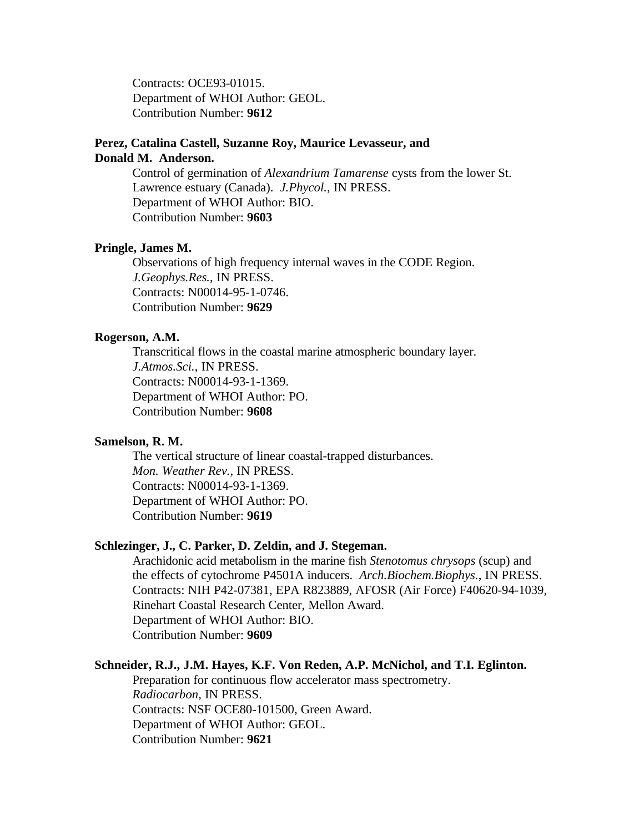Contracts: OCE93-01015. Department of WHOI Author: GEOL. Contribution Number: **9612**

### **Perez, Catalina Castell, Suzanne Roy, Maurice Levasseur, and Donald M. Anderson.**

Control of germination of *Alexandrium Tamarense* cysts from the lower St. Lawrence estuary (Canada). *J.Phycol.*, IN PRESS. Department of WHOI Author: BIO. Contribution Number: **9603**

### **Pringle, James M.**

Observations of high frequency internal waves in the CODE Region. *J.Geophys.Res.*, IN PRESS. Contracts: N00014-95-1-0746. Contribution Number: **9629**

### **Rogerson, A.M.**

Transcritical flows in the coastal marine atmospheric boundary layer. *J.Atmos.Sci.*, IN PRESS. Contracts: N00014-93-1-1369. Department of WHOI Author: PO. Contribution Number: **9608**

### **Samelson, R. M.**

The vertical structure of linear coastal-trapped disturbances. *Mon. Weather Rev.*, IN PRESS. Contracts: N00014-93-1-1369. Department of WHOI Author: PO. Contribution Number: **9619**

#### **Schlezinger, J., C. Parker, D. Zeldin, and J. Stegeman.**

Arachidonic acid metabolism in the marine fish *Stenotomus chrysops* (scup) and the effects of cytochrome P4501A inducers. *Arch.Biochem.Biophys.*, IN PRESS. Contracts: NIH P42-07381, EPA R823889, AFOSR (Air Force) F40620-94-1039, Rinehart Coastal Research Center, Mellon Award. Department of WHOI Author: BIO. Contribution Number: **9609**

#### **Schneider, R.J., J.M. Hayes, K.F. Von Reden, A.P. McNichol, and T.I. Eglinton.**

Preparation for continuous flow accelerator mass spectrometry. *Radiocarbon*, IN PRESS. Contracts: NSF OCE80-101500, Green Award. Department of WHOI Author: GEOL. Contribution Number: **9621**